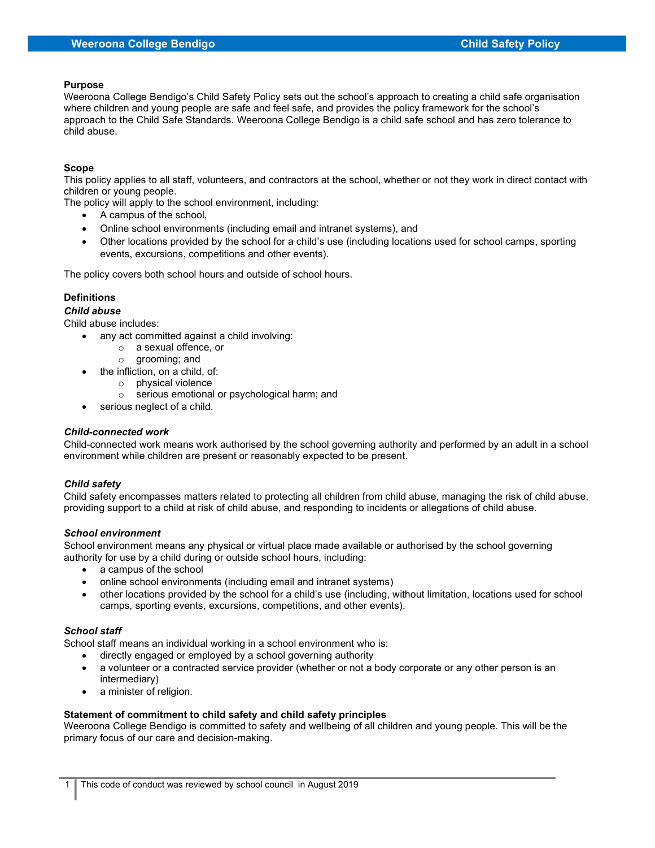#### Purpose

Weeroona College Bendigo's Child Safety Policy sets out the school's approach to creating a child safe organisation where children and young people are safe and feel safe, and provides the policy framework for the school's approach to the Child Safe Standards. Weeroona College Bendigo is a child safe school and has zero tolerance to child abuse.

### Scope

This policy applies to all staff, volunteers, and contractors at the school, whether or not they work in direct contact with children or young people.

The policy will apply to the school environment, including:

- A campus of the school,
- Online school environments (including email and intranet systems), and
- Other locations provided by the school for a child's use (including locations used for school camps, sporting events, excursions, competitions and other events).

The policy covers both school hours and outside of school hours.

### **Definitions**

### Child abuse

Child abuse includes:

- any act committed against a child involving:
	- o a sexual offence, or
	- o grooming; and
- the infliction, on a child, of:
	- o physical violence
	- o serious emotional or psychological harm; and
- serious neglect of a child.

#### Child-connected work

Child-connected work means work authorised by the school governing authority and performed by an adult in a school environment while children are present or reasonably expected to be present.

# Child safety

Child safety encompasses matters related to protecting all children from child abuse, managing the risk of child abuse, providing support to a child at risk of child abuse, and responding to incidents or allegations of child abuse.

#### School environment

School environment means any physical or virtual place made available or authorised by the school governing authority for use by a child during or outside school hours, including:

- a campus of the school
- online school environments (including email and intranet systems)
- other locations provided by the school for a child's use (including, without limitation, locations used for school camps, sporting events, excursions, competitions, and other events).

#### School staff

School staff means an individual working in a school environment who is:

- directly engaged or employed by a school governing authority
- a volunteer or a contracted service provider (whether or not a body corporate or any other person is an intermediary)
- a minister of religion.

# Statement of commitment to child safety and child safety principles

Weeroona College Bendigo is committed to safety and wellbeing of all children and young people. This will be the primary focus of our care and decision-making.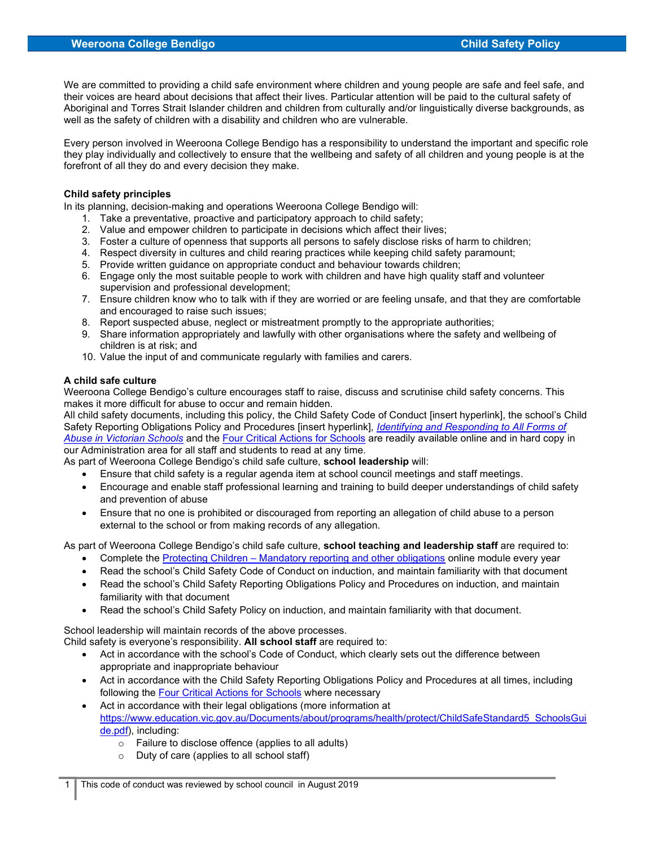We are committed to providing a child safe environment where children and young people are safe and feel safe, and their voices are heard about decisions that affect their lives. Particular attention will be paid to the cultural safety of Aboriginal and Torres Strait Islander children and children from culturally and/or linguistically diverse backgrounds, as well as the safety of children with a disability and children who are vulnerable.

Every person involved in Weeroona College Bendigo has a responsibility to understand the important and specific role they play individually and collectively to ensure that the wellbeing and safety of all children and young people is at the forefront of all they do and every decision they make.

#### Child safety principles

In its planning, decision-making and operations Weeroona College Bendigo will:

- 1. Take a preventative, proactive and participatory approach to child safety;
- 2. Value and empower children to participate in decisions which affect their lives;
- 3. Foster a culture of openness that supports all persons to safely disclose risks of harm to children;
- 4. Respect diversity in cultures and child rearing practices while keeping child safety paramount;
- 5. Provide written guidance on appropriate conduct and behaviour towards children;
- 6. Engage only the most suitable people to work with children and have high quality staff and volunteer supervision and professional development;
- 7. Ensure children know who to talk with if they are worried or are feeling unsafe, and that they are comfortable and encouraged to raise such issues;
- 8. Report suspected abuse, neglect or mistreatment promptly to the appropriate authorities;
- 9. Share information appropriately and lawfully with other organisations where the safety and wellbeing of children is at risk; and
- 10. Value the input of and communicate regularly with families and carers.

#### A child safe culture

Weeroona College Bendigo's culture encourages staff to raise, discuss and scrutinise child safety concerns. This makes it more difficult for abuse to occur and remain hidden.

All child safety documents, including this policy, the Child Safety Code of Conduct [insert hyperlink], the school's Child Safety Reporting Obligations Policy and Procedures [insert hyperlink], Identifying and Responding to All Forms of Abuse in Victorian Schools and the Four Critical Actions for Schools are readily available online and in hard copy in our Administration area for all staff and students to read at any time.

As part of Weeroona College Bendigo's child safe culture, school leadership will:

- Ensure that child safety is a regular agenda item at school council meetings and staff meetings.
- Encourage and enable staff professional learning and training to build deeper understandings of child safety and prevention of abuse
- Ensure that no one is prohibited or discouraged from reporting an allegation of child abuse to a person external to the school or from making records of any allegation.

As part of Weeroona College Bendigo's child safe culture, school teaching and leadership staff are required to:

- Complete the Protecting Children Mandatory reporting and other obligations online module every year
- Read the school's Child Safety Code of Conduct on induction, and maintain familiarity with that document
- Read the school's Child Safety Reporting Obligations Policy and Procedures on induction, and maintain familiarity with that document
- Read the school's Child Safety Policy on induction, and maintain familiarity with that document.

School leadership will maintain records of the above processes.

Child safety is everyone's responsibility. All school staff are required to:

- Act in accordance with the school's Code of Conduct, which clearly sets out the difference between appropriate and inappropriate behaviour
- Act in accordance with the Child Safety Reporting Obligations Policy and Procedures at all times, including following the Four Critical Actions for Schools where necessary
- Act in accordance with their legal obligations (more information at https://www.education.vic.gov.au/Documents/about/programs/health/protect/ChildSafeStandard5\_SchoolsGui de.pdf), including:
	- o Failure to disclose offence (applies to all adults)
	- o Duty of care (applies to all school staff)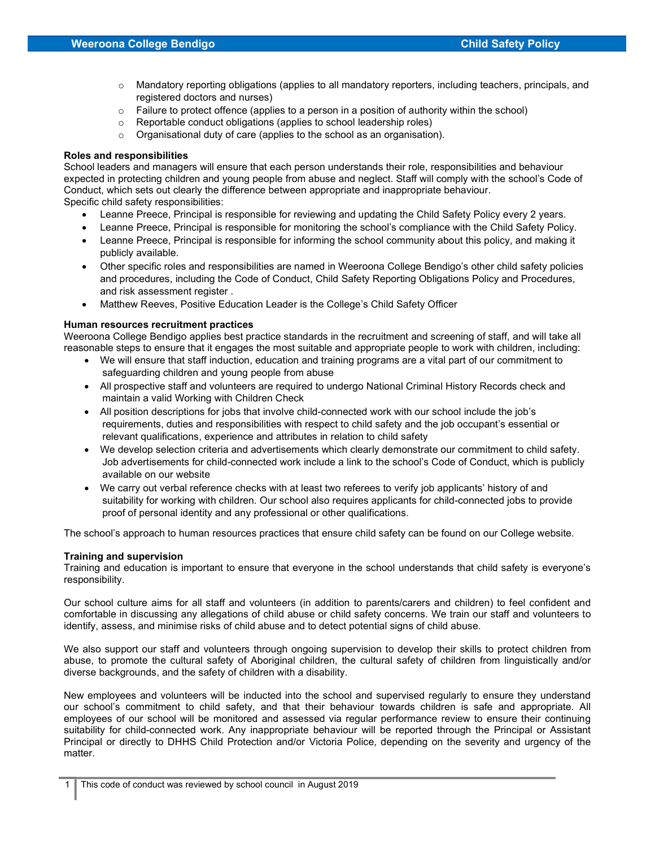- $\circ$  Mandatory reporting obligations (applies to all mandatory reporters, including teachers, principals, and registered doctors and nurses)
- $\circ$  Failure to protect offence (applies to a person in a position of authority within the school)
- o Reportable conduct obligations (applies to school leadership roles)
- o Organisational duty of care (applies to the school as an organisation).

#### Roles and responsibilities

School leaders and managers will ensure that each person understands their role, responsibilities and behaviour expected in protecting children and young people from abuse and neglect. Staff will comply with the school's Code of Conduct, which sets out clearly the difference between appropriate and inappropriate behaviour. Specific child safety responsibilities:

- Leanne Preece, Principal is responsible for reviewing and updating the Child Safety Policy every 2 years.
- Leanne Preece, Principal is responsible for monitoring the school's compliance with the Child Safety Policy.
- Leanne Preece, Principal is responsible for informing the school community about this policy, and making it publicly available.
- Other specific roles and responsibilities are named in Weeroona College Bendigo's other child safety policies and procedures, including the Code of Conduct, Child Safety Reporting Obligations Policy and Procedures, and risk assessment register .
- Matthew Reeves, Positive Education Leader is the College's Child Safety Officer

#### Human resources recruitment practices

Weeroona College Bendigo applies best practice standards in the recruitment and screening of staff, and will take all reasonable steps to ensure that it engages the most suitable and appropriate people to work with children, including:

- We will ensure that staff induction, education and training programs are a vital part of our commitment to safeguarding children and young people from abuse
- All prospective staff and volunteers are required to undergo National Criminal History Records check and maintain a valid Working with Children Check
- All position descriptions for jobs that involve child-connected work with our school include the job's requirements, duties and responsibilities with respect to child safety and the job occupant's essential or relevant qualifications, experience and attributes in relation to child safety
- We develop selection criteria and advertisements which clearly demonstrate our commitment to child safety. Job advertisements for child-connected work include a link to the school's Code of Conduct, which is publicly available on our website
- We carry out verbal reference checks with at least two referees to verify job applicants' history of and suitability for working with children. Our school also requires applicants for child-connected jobs to provide proof of personal identity and any professional or other qualifications.

The school's approach to human resources practices that ensure child safety can be found on our College website.

#### Training and supervision

Training and education is important to ensure that everyone in the school understands that child safety is everyone's responsibility.

Our school culture aims for all staff and volunteers (in addition to parents/carers and children) to feel confident and comfortable in discussing any allegations of child abuse or child safety concerns. We train our staff and volunteers to identify, assess, and minimise risks of child abuse and to detect potential signs of child abuse.

We also support our staff and volunteers through ongoing supervision to develop their skills to protect children from abuse, to promote the cultural safety of Aboriginal children, the cultural safety of children from linguistically and/or diverse backgrounds, and the safety of children with a disability.

New employees and volunteers will be inducted into the school and supervised regularly to ensure they understand our school's commitment to child safety, and that their behaviour towards children is safe and appropriate. All employees of our school will be monitored and assessed via regular performance review to ensure their continuing suitability for child-connected work. Any inappropriate behaviour will be reported through the Principal or Assistant Principal or directly to DHHS Child Protection and/or Victoria Police, depending on the severity and urgency of the matter.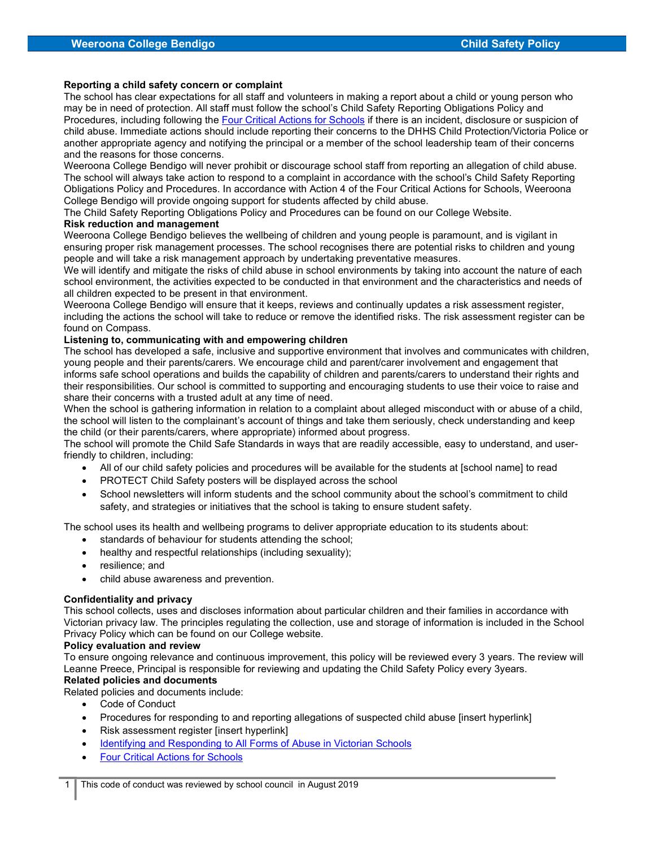#### Reporting a child safety concern or complaint

The school has clear expectations for all staff and volunteers in making a report about a child or young person who may be in need of protection. All staff must follow the school's Child Safety Reporting Obligations Policy and Procedures, including following the Four Critical Actions for Schools if there is an incident, disclosure or suspicion of child abuse. Immediate actions should include reporting their concerns to the DHHS Child Protection/Victoria Police or another appropriate agency and notifying the principal or a member of the school leadership team of their concerns and the reasons for those concerns.

Weeroona College Bendigo will never prohibit or discourage school staff from reporting an allegation of child abuse. The school will always take action to respond to a complaint in accordance with the school's Child Safety Reporting Obligations Policy and Procedures. In accordance with Action 4 of the Four Critical Actions for Schools, Weeroona College Bendigo will provide ongoing support for students affected by child abuse.

The Child Safety Reporting Obligations Policy and Procedures can be found on our College Website.

### Risk reduction and management

Weeroona College Bendigo believes the wellbeing of children and young people is paramount, and is vigilant in ensuring proper risk management processes. The school recognises there are potential risks to children and young people and will take a risk management approach by undertaking preventative measures.

We will identify and mitigate the risks of child abuse in school environments by taking into account the nature of each school environment, the activities expected to be conducted in that environment and the characteristics and needs of all children expected to be present in that environment.

Weeroona College Bendigo will ensure that it keeps, reviews and continually updates a risk assessment register, including the actions the school will take to reduce or remove the identified risks. The risk assessment register can be found on Compass.

### Listening to, communicating with and empowering children

The school has developed a safe, inclusive and supportive environment that involves and communicates with children, young people and their parents/carers. We encourage child and parent/carer involvement and engagement that informs safe school operations and builds the capability of children and parents/carers to understand their rights and their responsibilities. Our school is committed to supporting and encouraging students to use their voice to raise and share their concerns with a trusted adult at any time of need.

When the school is gathering information in relation to a complaint about alleged misconduct with or abuse of a child, the school will listen to the complainant's account of things and take them seriously, check understanding and keep the child (or their parents/carers, where appropriate) informed about progress.

The school will promote the Child Safe Standards in ways that are readily accessible, easy to understand, and userfriendly to children, including:

- All of our child safety policies and procedures will be available for the students at [school name] to read
- PROTECT Child Safety posters will be displayed across the school
- School newsletters will inform students and the school community about the school's commitment to child safety, and strategies or initiatives that the school is taking to ensure student safety.

The school uses its health and wellbeing programs to deliver appropriate education to its students about:

- standards of behaviour for students attending the school;
- healthy and respectful relationships (including sexuality);
- resilience: and
- child abuse awareness and prevention.

#### Confidentiality and privacy

This school collects, uses and discloses information about particular children and their families in accordance with Victorian privacy law. The principles regulating the collection, use and storage of information is included in the School Privacy Policy which can be found on our College website.

#### Policy evaluation and review

To ensure ongoing relevance and continuous improvement, this policy will be reviewed every 3 years. The review will Leanne Preece, Principal is responsible for reviewing and updating the Child Safety Policy every 3years.

# Related policies and documents

Related policies and documents include:

- Code of Conduct
- Procedures for responding to and reporting allegations of suspected child abuse [insert hyperlink]
- Risk assessment register [insert hyperlink]
- Identifying and Responding to All Forms of Abuse in Victorian Schools
- Four Critical Actions for Schools